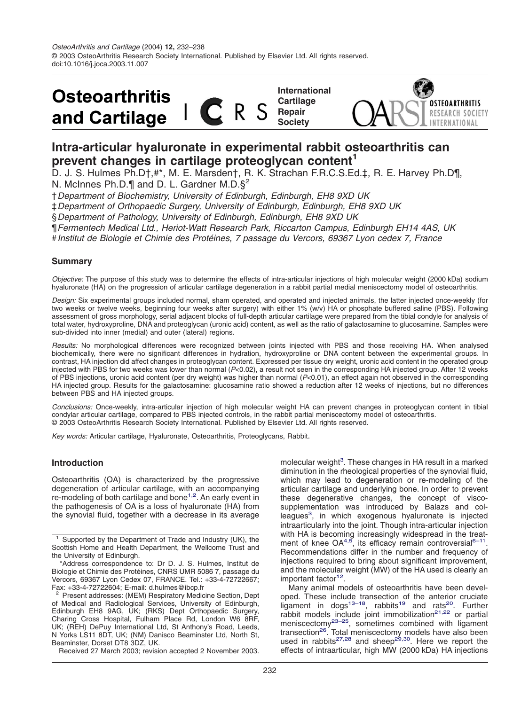

# **Intra-articular hyaluronate in experimental rabbit osteoarthritis can prevent changes in cartilage proteoglycan content<sup>1</sup>**

D. J. S. Hulmes Ph.D†,#\*, M. E. Marsden†, R. K. Strachan F.R.C.S.Ed.‡, R. E. Harvey Ph.D¶, N. McInnes Ph.D.¶ and D. L. Gardner M.D.§2

†*Department of Biochemistry, University of Edinburgh, Edinburgh, EH8 9XD UK*

‡*Department of Orthopaedic Surgery, University of Edinburgh, Edinburgh, EH8 9XD UK*

§*Department of Pathology, University of Edinburgh, Edinburgh, EH8 9XD UK*

¶*Fermentech Medical Ltd., Heriot-Watt Research Park, Riccarton Campus, Edinburgh EH14 4AS, UK*

#*Institut de Biologie et Chimie des Prote´ ines, 7 passage du Vercors, 69367 Lyon cedex 7, France*

# **Summary**

*Objective:* The purpose of this study was to determine the effects of intra-articular injections of high molecular weight (2000 kDa) sodium hyaluronate (HA) on the progression of articular cartilage degeneration in a rabbit partial medial meniscectomy model of osteoarthritis.

*Design:* Six experimental groups included normal, sham operated, and operated and injected animals, the latter injected once-weekly (for two weeks or twelve weeks, beginning four weeks after surgery) with either 1% (w/v) HA or phosphate buffered saline (PBS). Following assessment of gross morphology, serial adjacent blocks of full-depth articular cartilage were prepared from the tibial condyle for analysis of total water, hydroxyproline, DNA and proteoglycan (uronic acid) content, as well as the ratio of galactosamine to glucosamine. Samples were sub-divided into inner (medial) and outer (lateral) regions.

*Results:* No morphological differences were recognized between joints injected with PBS and those receiving HA. When analysed biochemically, there were no significant differences in hydration, hydroxyproline or DNA content between the experimental groups. In contrast, HA injection did affect changes in proteoglycan content. Expressed per tissue dry weight, uronic acid content in the operated group injected with PBS for two weeks was lower than normal (*P*<0.02), a result not seen in the corresponding HA injected group. After 12 weeks of PBS injections, uronic acid content (per dry weight) was higher than normal (*P*<0.01), an effect again not observed in the corresponding HA injected group. Results for the galactosamine: glucosamine ratio showed a reduction after 12 weeks of injections, but no differences between PBS and HA injected groups.

*Conclusions:* Once-weekly, intra-articular injection of high molecular weight HA can prevent changes in proteoglycan content in tibial condylar articular cartilage, compared to PBS injected controls, in the rabbit partial meniscectomy model of osteoarthritis. © 2003 OsteoArthritis Research Society International. Published by Elsevier Ltd. All rights reserved.

*Key words:* Articular cartilage, Hyaluronate, Osteoarthritis, Proteoglycans, Rabbit.

## **Introduction**

Osteoarthritis (OA) is characterized by the progressive degeneration of articular cartilage, with an accompanying re-modeling of both cartilage and bone<sup>1,2</sup>. An early event in the pathogenesis of OA is a loss of hyaluronate (HA) from the synovial fluid, together with a decrease in its average

Received 27 March 2003; revision accepted 2 November 2003.

molecular weight<sup>3</sup>. These changes in HA result in a marked diminution in the rheological properties of the synovial fluid, which may lead to degeneration or re-modeling of the articular cartilage and underlying bone. In order to prevent these degenerative changes, the concept of viscosupplementation was introduced by Balazs and colleagues<sup>3</sup>, in which exogenous hyaluronate is injected intraarticularly into the joint. Though intra-articular injection with HA is becoming increasingly widespread in the treatment of knee  $OA^{4,5}$ , its efficacy remain controversial<sup>6-11</sup>. Recommendations differ in the number and frequency of injections required to bring about significant improvement, and the molecular weight (MW) of the HA used is clearly an important factor<sup>12</sup>.

Many animal models of osteoarthritis have been developed. These include transection of the anterior cruciate ligament in dogs $^{13-18}$ , rabbits<sup>19</sup> and rats<sup>20</sup>. Further rabbit models include joint immobilization<sup>21,22</sup> or partial meniscectomy<sup>23–25</sup>, sometimes combined with ligament transection<sup>26</sup>. Total meniscectomy models have also been used in rabbits<sup>27,28</sup> and sheep<sup>29,30</sup>. Here we report the effects of intraarticular, high MW (2000 kDa) HA injections

<sup>&</sup>lt;sup>1</sup> Supported by the Department of Trade and Industry (UK), the Scottish Home and Health Department, the Wellcome Trust and the University of Edinburgh.

<sup>\*</sup>Address correspondence to: Dr D. J. S. Hulmes, Institut de Biologie et Chimie des Protéines, CNRS UMR 5086 7, passage du Vercors, 69367 Lyon Cedex 07, FRANCE. Tel.: +33-4-72722667; Fax: +33-4-72722604; E-mail: d.hulmes@ibcp.fr

<sup>&</sup>lt;sup>2</sup> Present addresses: (MEM) Respiratory Medicine Section, Dept of Medical and Radiological Services, University of Edinburgh, Edinburgh EH8 9AG, UK; (RKS) Dept Orthopaedic Surgery, Charing Cross Hospital, Fulham Place Rd, London W6 8RF, UK; (REH) DePuy International Ltd, St Anthony's Road, Leeds, N Yorks LS11 8DT, UK; (NM) Danisco Beaminster Ltd, North St, Beaminster, Dorset DT8 3DZ, UK.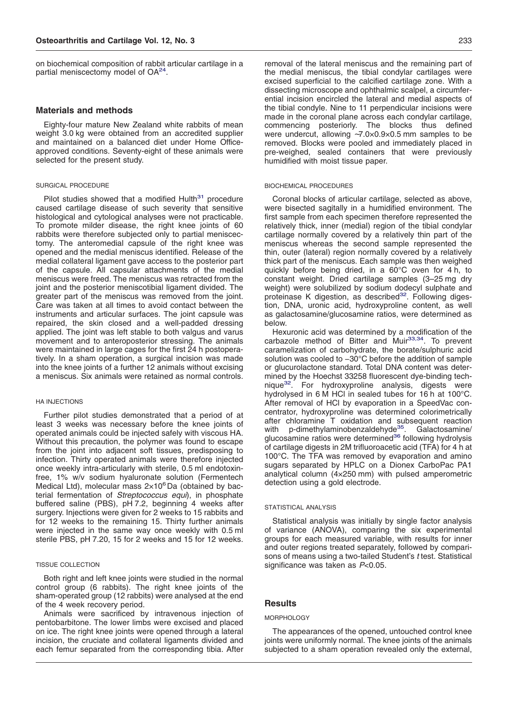on biochemical composition of rabbit articular cartilage in a partial meniscectomy model of OA<sup>24</sup>.

## **Materials and methods**

Eighty-four mature New Zealand white rabbits of mean weight 3.0 kg were obtained from an accredited supplier and maintained on a balanced diet under Home Officeapproved conditions. Seventy-eight of these animals were selected for the present study.

#### SURGICAL PROCEDURE

Pilot studies showed that a modified  $Hulth<sup>31</sup>$  procedure caused cartilage disease of such severity that sensitive histological and cytological analyses were not practicable. To promote milder disease, the right knee joints of 60 rabbits were therefore subjected only to partial meniscectomy. The anteromedial capsule of the right knee was opened and the medial meniscus identified. Release of the medial collateral ligament gave access to the posterior part of the capsule. All capsular attachments of the medial meniscus were freed. The meniscus was retracted from the joint and the posterior meniscotibial ligament divided. The greater part of the meniscus was removed from the joint. Care was taken at all times to avoid contact between the instruments and articular surfaces. The joint capsule was repaired, the skin closed and a well-padded dressing applied. The joint was left stable to both valgus and varus movement and to anteroposterior stressing. The animals were maintained in large cages for the first 24 h postoperatively. In a sham operation, a surgical incision was made into the knee joints of a further 12 animals without excising a meniscus. Six animals were retained as normal controls.

## HA INJECTIONS

Further pilot studies demonstrated that a period of at least 3 weeks was necessary before the knee joints of operated animals could be injected safely with viscous HA. Without this precaution, the polymer was found to escape from the joint into adjacent soft tissues, predisposing to infection. Thirty operated animals were therefore injected once weekly intra-articularly with sterile, 0.5 ml endotoxinfree, 1% w/v sodium hyaluronate solution (Fermentech Medical Ltd), molecular mass  $2\times10^6$ Da (obtained by bacterial fermentation of *Streptococcus equi*), in phosphate buffered saline (PBS), pH 7.2, beginning 4 weeks after surgery. Injections were given for 2 weeks to 15 rabbits and for 12 weeks to the remaining 15. Thirty further animals were injected in the same way once weekly with 0.5 ml sterile PBS, pH 7.20, 15 for 2 weeks and 15 for 12 weeks.

### TISSUE COLLECTION

Both right and left knee joints were studied in the normal control group (6 rabbits). The right knee joints of the sham-operated group (12 rabbits) were analysed at the end of the 4 week recovery period.

Animals were sacrificed by intravenous injection of pentobarbitone. The lower limbs were excised and placed on ice. The right knee joints were opened through a lateral incision, the cruciate and collateral ligaments divided and each femur separated from the corresponding tibia. After removal of the lateral meniscus and the remaining part of the medial meniscus, the tibial condylar cartilages were excised superficial to the calcified cartilage zone. With a dissecting microscope and ophthalmic scalpel, a circumferential incision encircled the lateral and medial aspects of the tibial condyle. Nine to 11 perpendicular incisions were made in the coronal plane across each condylar cartilage, commencing posteriorly. The blocks thus defined were undercut, allowing ∼7.0×0.9×0.5 mm samples to be removed. Blocks were pooled and immediately placed in pre-weighed, sealed containers that were previously humidified with moist tissue paper.

#### BIOCHEMICAL PROCEDURES

Coronal blocks of articular cartilage, selected as above, were bisected sagitally in a humidified environment. The first sample from each specimen therefore represented the relatively thick, inner (medial) region of the tibial condylar cartilage normally covered by a relatively thin part of the meniscus whereas the second sample represented the thin, outer (lateral) region normally covered by a relatively thick part of the meniscus. Each sample was then weighed quickly before being dried, in a 60°C oven for 4 h, to constant weight. Dried cartilage samples (3–25 mg dry weight) were solubilized by sodium dodecyl sulphate and proteinase K digestion, as described<sup>32</sup>. Following digestion, DNA, uronic acid, hydroxyproline content, as well as galactosamine/glucosamine ratios, were determined as below.

Hexuronic acid was determined by a modification of the carbazole method of Bitter and Muir<sup>33,34</sup>. To prevent caramelization of carbohydrate, the borate/sulphuric acid solution was cooled to −30°C before the addition of sample or glucurolactone standard. Total DNA content was determined by the Hoechst 33258 fluorescent dye-binding technique<sup>32</sup>. For hydroxyproline analysis, digests were hydrolysed in 6 M HCl in sealed tubes for 16 h at 100°C. After removal of HCl by evaporation in a SpeedVac concentrator, hydroxyproline was determined colorimetrically after chloramine T oxidation and subsequent reaction with p-dimethylaminobenzaldehyde<sup>35</sup>. Galactosamine/ glucosamine ratios were determined<sup>36</sup> following hydrolysis of cartilage digests in 2M trifluoroacetic acid (TFA) for 4 h at 100°C. The TFA was removed by evaporation and amino sugars separated by HPLC on a Dionex CarboPac PA1 analytical column (4×250 mm) with pulsed amperometric detection using a gold electrode.

#### STATISTICAL ANALYSIS

Statistical analysis was initially by single factor analysis of variance (ANOVA), comparing the six experimental groups for each measured variable, with results for inner and outer regions treated separately, followed by comparisons of means using a two-tailed Student's *t* test. Statistical significance was taken as *P*<0.05.

## **Results**

#### **MORPHOLOGY**

The appearances of the opened, untouched control knee joints were uniformly normal. The knee joints of the animals subjected to a sham operation revealed only the external,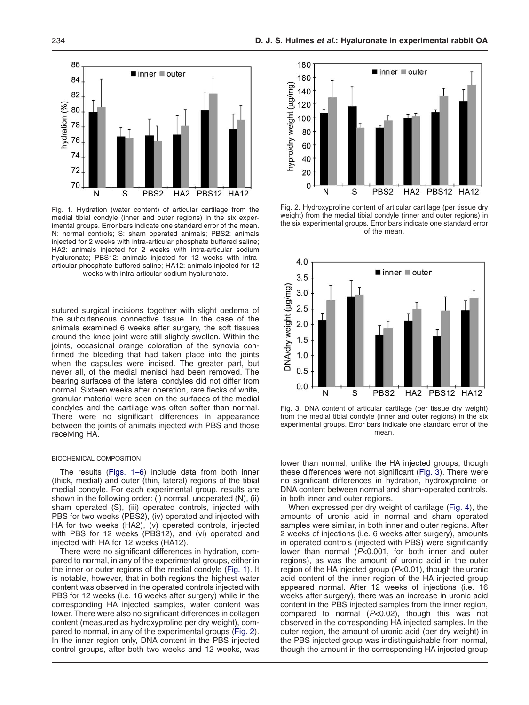<span id="page-2-0"></span>

Fig. 1. Hydration (water content) of articular cartilage from the medial tibial condyle (inner and outer regions) in the six experimental groups. Error bars indicate one standard error of the mean. N: normal controls; S: sham operated animals; PBS2: animals injected for 2 weeks with intra-articular phosphate buffered saline; HA2: animals injected for 2 weeks with intra-articular sodium hyaluronate; PBS12: animals injected for 12 weeks with intraarticular phosphate buffered saline; HA12: animals injected for 12 weeks with intra-articular sodium hyaluronate.

sutured surgical incisions together with slight oedema of the subcutaneous connective tissue. In the case of the animals examined 6 weeks after surgery, the soft tissues around the knee joint were still slightly swollen. Within the joints, occasional orange coloration of the synovia confirmed the bleeding that had taken place into the joints when the capsules were incised. The greater part, but never all, of the medial menisci had been removed. The bearing surfaces of the lateral condyles did not differ from normal. Sixteen weeks after operation, rare flecks of white, granular material were seen on the surfaces of the medial condyles and the cartilage was often softer than normal. There were no significant differences in appearance between the joints of animals injected with PBS and those receiving HA.

#### BIOCHEMICAL COMPOSITION

The results (Figs. 1–6) include data from both inner (thick, medial) and outer (thin, lateral) regions of the tibial medial condyle. For each experimental group, results are shown in the following order: (i) normal, unoperated (N), (ii) sham operated (S), (iii) operated controls, injected with PBS for two weeks (PBS2), (iv) operated and injected with HA for two weeks (HA2), (v) operated controls, injected with PBS for 12 weeks (PBS12), and (vi) operated and injected with HA for 12 weeks (HA12).

There were no significant differences in hydration, compared to normal, in any of the experimental groups, either in the inner or outer regions of the medial condyle (Fig. 1). It is notable, however, that in both regions the highest water content was observed in the operated controls injected with PBS for 12 weeks (i.e. 16 weeks after surgery) while in the corresponding HA injected samples, water content was lower. There were also no significant differences in collagen content (measured as hydroxyproline per dry weight), compared to normal, in any of the experimental groups (Fig. 2). In the inner region only, DNA content in the PBS injected control groups, after both two weeks and 12 weeks, was



Fig. 2. Hydroxyproline content of articular cartilage (per tissue dry weight) from the medial tibial condyle (inner and outer regions) in the six experimental groups. Error bars indicate one standard error of the mean.



Fig. 3. DNA content of articular cartilage (per tissue dry weight) from the medial tibial condyle (inner and outer regions) in the six experimental groups. Error bars indicate one standard error of the mean.

lower than normal, unlike the HA injected groups, though these differences were not significant (Fig. 3). There were no significant differences in hydration, hydroxyproline or DNA content between normal and sham-operated controls, in both inner and outer regions.

When expressed per dry weight of cartilage [\(Fig. 4\)](#page-3-0), the amounts of uronic acid in normal and sham operated samples were similar, in both inner and outer regions. After 2 weeks of injections (i.e. 6 weeks after surgery), amounts in operated controls (injected with PBS) were significantly lower than normal (*P*<0.001, for both inner and outer regions), as was the amount of uronic acid in the outer region of the HA injected group (*P*<0.01), though the uronic acid content of the inner region of the HA injected group appeared normal. After 12 weeks of injections (i.e. 16 weeks after surgery), there was an increase in uronic acid content in the PBS injected samples from the inner region, compared to normal (*P*<0.02), though this was not observed in the corresponding HA injected samples. In the outer region, the amount of uronic acid (per dry weight) in the PBS injected group was indistinguishable from normal, though the amount in the corresponding HA injected group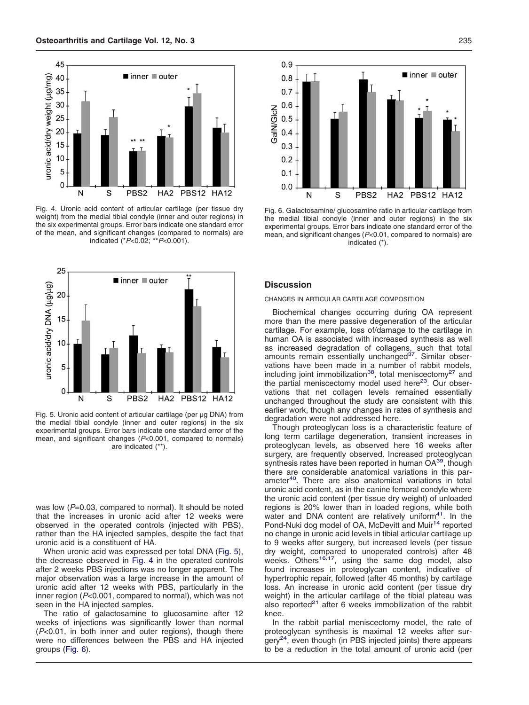<span id="page-3-0"></span>

Fig. 4. Uronic acid content of articular cartilage (per tissue dry weight) from the medial tibial condyle (inner and outer regions) in the six experimental groups. Error bars indicate one standard error of the mean, and significant changes (compared to normals) are indicated (\**P*<0.02; \*\**P*<0.001).



Fig. 5. Uronic acid content of articular cartilage (per µg DNA) from the medial tibial condyle (inner and outer regions) in the six experimental groups. Error bars indicate one standard error of the mean, and significant changes (*P*<0.001, compared to normals) are indicated (\*\*).

was low ( $P=0.03$ , compared to normal). It should be noted that the increases in uronic acid after 12 weeks were observed in the operated controls (injected with PBS), rather than the HA injected samples, despite the fact that uronic acid is a constituent of HA.

When uronic acid was expressed per total DNA (Fig. 5), the decrease observed in Fig. 4 in the operated controls after 2 weeks PBS injections was no longer apparent. The major observation was a large increase in the amount of uronic acid after 12 weeks with PBS, particularly in the inner region (*P*<0.001, compared to normal), which was not seen in the HA injected samples.

The ratio of galactosamine to glucosamine after 12 weeks of injections was significantly lower than normal (*P*<0.01, in both inner and outer regions), though there were no differences between the PBS and HA injected groups (Fig. 6).



Fig. 6. Galactosamine/ glucosamine ratio in articular cartilage from the medial tibial condyle (inner and outer regions) in the six experimental groups. Error bars indicate one standard error of the mean, and significant changes (*P*<0.01, compared to normals) are indicated (\*).

# **Discussion**

# CHANGES IN ARTICULAR CARTILAGE COMPOSITION

Biochemical changes occurring during OA represent more than the mere passive degeneration of the articular cartilage. For example, loss of/damage to the cartilage in human OA is associated with increased synthesis as well as increased degradation of collagens, such that total<br>amounts remain essentially unchanged<sup>37</sup>. Similar observations have been made in a number of rabbit models, including joint immobilization<sup>38</sup>, total meniscectomy<sup>27</sup> and the partial meniscectomy model used here $23$ . Our observations that net collagen levels remained essentially unchanged throughout the study are consistent with this earlier work, though any changes in rates of synthesis and degradation were not addressed here.

Though proteoglycan loss is a characteristic feature of long term cartilage degeneration, transient increases in proteoglycan levels, as observed here 16 weeks after surgery, are frequently observed. Increased proteoglycan synthesis rates have been reported in human OA<sup>39</sup>, though there are considerable anatomical variations in this parameter<sup>40</sup>. There are also anatomical variations in total uronic acid content, as in the canine femoral condyle where the uronic acid content (per tissue dry weight) of unloaded regions is 20% lower than in loaded regions, while both water and DNA content are relatively uniform<sup>41</sup>. In the Pond-Nuki dog model of OA, McDevitt and Muir<sup>14</sup> reported no change in uronic acid levels in tibial articular cartilage up to 9 weeks after surgery, but increased levels (per tissue dry weight, compared to unoperated controls) after 48 weeks. Others<sup>16,17</sup>, using the same dog model, also found increases in proteoglycan content, indicative of hypertrophic repair, followed (after 45 months) by cartilage loss. An increase in uronic acid content (per tissue dry weight) in the articular cartilage of the tibial plateau was also reported $21$  after 6 weeks immobilization of the rabbit knee.

In the rabbit partial meniscectomy model, the rate of proteoglycan synthesis is maximal 12 weeks after sur $g$ ery<sup>24</sup>, even though (in PBS injected joints) there appears to be a reduction in the total amount of uronic acid (per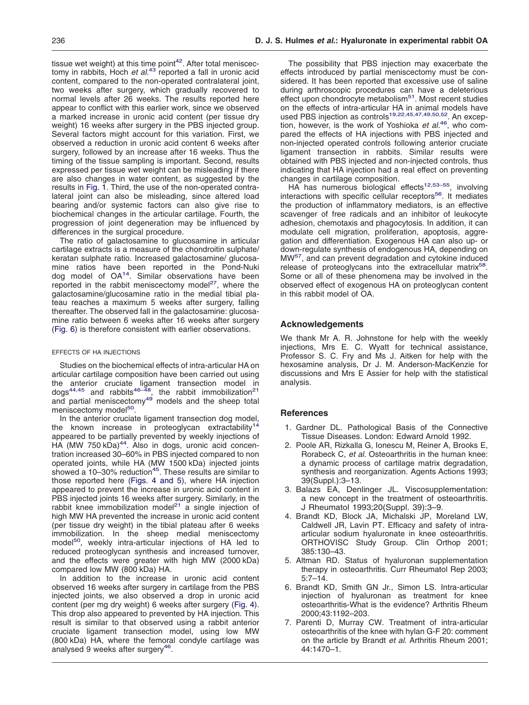<span id="page-4-0"></span>tissue wet weight) at this time point<sup>42</sup>. After total meniscectomy in rabbits, Hoch *et al.*[43](#page-6-0) reported a fall in uronic acid content, compared to the non-operated contralateral joint, two weeks after surgery, which gradually recovered to normal levels after 26 weeks. The results reported here appear to conflict with this earlier work, since we observed a marked increase in uronic acid content (per tissue dry weight) 16 weeks after surgery in the PBS injected group. Several factors might account for this variation. First, we observed a reduction in uronic acid content 6 weeks after surgery, followed by an increase after 16 weeks. Thus the timing of the tissue sampling is important. Second, results expressed per tissue wet weight can be misleading if there are also changes in water content, as suggested by the results in [Fig. 1.](#page-2-0) Third, the use of the non-operated contralateral joint can also be misleading, since altered load bearing and/or systemic factors can also give rise to biochemical changes in the articular cartilage. Fourth, the progression of joint degeneration may be influenced by differences in the surgical procedure.

The ratio of galactosamine to glucosamine in articular cartilage extracts is a measure of the chondroitin sulphate/ keratan sulphate ratio. Increased galactosamine/ glucosamine ratios have been reported in the Pond-Nuki<br>dog model of OA<sup>14</sup>. Similar observations have been reported in the rabbit meniscectomy model<sup>27</sup>, where the galactosamine/glucosamine ratio in the medial tibial plateau reaches a maximum 5 weeks after surgery, falling thereafter. The observed fall in the galactosamine: glucosamine ratio between 6 weeks after 16 weeks after surgery [\(Fig. 6\)](#page-3-0) is therefore consistent with earlier observations.

## EFFECTS OF HA INJECTIONS

Studies on the biochemical effects of intra-articular HA on articular cartilage composition have been carried out using the anterior cruciate ligament transection model in<br>dogs<sup>44,45</sup> and rabbits<sup>46–48</sup>, the rabbit immobilization<sup>21</sup> and partial meniscectomy<sup>49</sup> models and the sheep total meniscectomy model<sup>50</sup>.

In the anterior cruciate ligament transection dog model, the known increase in proteoglycan extractability<sup>14</sup> appeared to be partially prevented by weekly injections of HA (MW 750 kDa)<sup>44</sup>. Also in dogs, uronic acid concentration increased 30–60% in PBS injected compared to non operated joints, while HA (MW 1500 kDa) injected joints showed a 10–30% reduction<sup>45</sup>. These results are similar to those reported here [\(Figs. 4 and 5\)](#page-3-0), where HA injection appeared to prevent the increase in uronic acid content in PBS injected joints 16 weeks after surgery. Similarly, in the rabbit knee immobilization model<sup>21</sup> a single injection of high MW HA prevented the increase in uronic acid content (per tissue dry weight) in the tibial plateau after 6 weeks immobilization. In the sheep medial meniscectomy model<sup>50</sup>, weekly intra-articular injections of HA led to reduced proteoglycan synthesis and increased turnover, and the effects were greater with high MW (2000 kDa) compared low MW (800 kDa) HA.

In addition to the increase in uronic acid content observed 16 weeks after surgery in cartilage from the PBS injected joints, we also observed a drop in uronic acid content (per mg dry weight) 6 weeks after surgery [\(Fig. 4\)](#page-3-0). This drop also appeared to prevented by HA injection. This result is similar to that observed using a rabbit anterior cruciate ligament transection model, using low MW (800 kDa) HA, where the femoral condyle cartilage was analysed 9 weeks after surgery<sup>46</sup>.

The possibility that PBS injection may exacerbate the effects introduced by partial meniscectomy must be considered. It has been reported that excessive use of saline during arthroscopic procedures can have a deleterious effect upon chondrocyte metabolism<sup>51</sup>. Most recent studies on the effects of intra-articular HA in animal models have<br>used PBS injection as controls<sup>19,22,45,47,49,50,52</sup>. An exception, however, is the work of Yoshioka *et al.*[46,](#page-6-0) who compared the effects of HA injections with PBS injected and non-injected operated controls following anterior cruciate ligament transection in rabbits. Similar results were obtained with PBS injected and non-injected controls, thus indicating that HA injection had a real effect on preventing changes in cartilage composition.

HA has numerous biological effects<sup>12,53–55</sup>, involving interactions with specific cellular receptors<sup>56</sup>. It mediates the production of inflammatory mediators, is an effective scavenger of free radicals and an inhibitor of leukocyte adhesion, chemotaxis and phagocytosis. In addition, it can modulate cell migration, proliferation, apoptosis, aggregation and differentiation. Exogenous HA can also up- or down-regulate synthesis of endogenous HA, depending on MW[57,](#page-6-0) and can prevent degradation and cytokine induced release of proteoglycans into the extracellular matrix<sup>58</sup>. Some or all of these phenomena may be involved in the observed effect of exogenous HA on proteoglycan content in this rabbit model of OA.

# **Acknowledgements**

We thank Mr A. R. Johnstone for help with the weekly injections, Mrs E. C. Wyatt for technical assistance, Professor S. C. Fry and Ms J. Aitken for help with the hexosamine analysis, Dr J. M. Anderson-MacKenzie for discussions and Mrs E Assier for help with the statistical analysis.

## **References**

- 1. Gardner DL. Pathological Basis of the Connective Tissue Diseases. London: Edward Arnold 1992.
- 2. Poole AR, Rizkalla G, Ionescu M, Reiner A, Brooks E, Rorabeck C, *et al.* Osteoarthritis in the human knee: a dynamic process of cartilage matrix degradation, synthesis and reorganization. Agents Actions 1993; 39(Suppl.):3–13.
- 3. Balazs EA, Denlinger JL. Viscosupplementation: a new concept in the treatment of osteoarthritis. J Rheumatol 1993;20(Suppl. 39):3–9.
- 4. Brandt KD, Block JA, Michalski JP, Moreland LW, Caldwell JR, Lavin PT. Efficacy and safety of intraarticular sodium hyaluronate in knee osteoarthritis. ORTHOVISC Study Group. Clin Orthop 2001; 385:130–43.
- 5. Altman RD. Status of hyaluronan supplementation therapy in osteoarthritis. Curr Rheumatol Rep 2003; 5:7–14.
- 6. Brandt KD, Smith GN Jr., Simon LS. Intra-articular injection of hyaluronan as treatment for knee osteoarthritis-What is the evidence? Arthritis Rheum 2000;43:1192–203.
- 7. Parenti D, Murray CW. Treatment of intra-articular osteoarthritis of the knee with hylan G-F 20: comment on the article by Brandt *et al*. Arthritis Rheum 2001; 44:1470–1.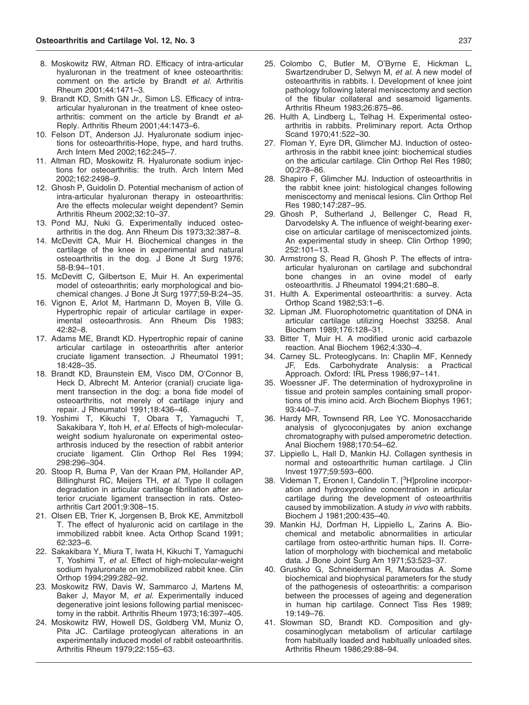- <span id="page-5-0"></span>8. Moskowitz RW, Altman RD. Efficacy of intra-articular hyaluronan in the treatment of knee osteoarthritis: comment on the article by Brandt *et al*. Arthritis Rheum 2001;44:1471–3.
- 9. Brandt KD, Smith GN Jr., Simon LS. Efficacy of intraarticular hyaluronan in the treatment of knee osteoarthritis: comment on the article by Brandt *et al*-Reply. Arthritis Rheum 2001;44:1473–6.
- 10. Felson DT, Anderson JJ. Hyaluronate sodium injections for osteoarthritis-Hope, hype, and hard truths. Arch Intern Med 2002;162:245–7.
- 11. Altman RD, Moskowitz R. Hyaluronate sodium injections for osteoarthritis: the truth. Arch Intern Med 2002;162:2498–9.
- 12. Ghosh P, Guidolin D. Potential mechanism of action of intra-articular hyaluronan therapy in osteoarthritis: Are the effects molecular weight dependent? Semin Arthritis Rheum 2002;32:10–37.
- 13. Pond MJ, Nuki G. Experimentally induced osteoarthritis in the dog. Ann Rheum Dis 1973;32:387–8.
- 14. McDevitt CA, Muir H. Biochemical changes in the cartilage of the knee in experimental and natural osteoarthritis in the dog. J Bone Jt Surg 1976; 58-B:94–101.
- 15. McDevitt C, Gilbertson E, Muir H. An experimental model of osteoarthritis; early morphological and biochemical changes. J Bone Jt Surg 1977;59-B:24–35.
- 16. Vignon E, Arlot M, Hartmann D, Moyen B, Ville G. Hypertrophic repair of articular cartilage in experimental osteoarthrosis. Ann Rheum Dis 1983;  $42.82 - 8$
- 17. Adams ME, Brandt KD. Hypertrophic repair of canine articular cartilage in osteoarthritis after anterior cruciate ligament transection. J Rheumatol 1991; 18:428–35.
- 18. Brandt KD, Braunstein EM, Visco DM, O'Connor B, Heck D, Albrecht M. Anterior (cranial) cruciate ligament transection in the dog: a bona fide model of osteoarthritis, not merely of cartilage injury and repair. J Rheumatol 1991;18:436–46.
- 19. Yoshimi T, Kikuchi T, Obara T, Yamaguchi T, Sakakibara Y, Itoh H, *et al.* Effects of high-molecularweight sodium hyaluronate on experimental osteoarthrosis induced by the resection of rabbit anterior cruciate ligament. Clin Orthop Rel Res 1994; 298:296–304.
- 20. Stoop R, Buma P, Van der Kraan PM, Hollander AP, Billinghurst RC, Meijers TH, *et al.* Type II collagen degradation in articular cartilage fibrillation after anterior cruciate ligament transection in rats. Osteoarthritis Cart 2001;9:308–15.
- 21. Olsen EB, Trier K, Jorgensen B, Brok KE, Ammitzboll T. The effect of hyaluronic acid on cartilage in the immobilized rabbit knee. Acta Orthop Scand 1991; 62:323–6.
- 22. Sakakibara Y, Miura T, Iwata H, Kikuchi T, Yamaguchi T, Yoshimi T, *et al.* Effect of high-molecular-weight sodium hyaluronate on immobilized rabbit knee. Clin Orthop 1994;299:282–92.
- 23. Moskowitz RW, Davis W, Sammarco J, Martens M, Baker J, Mayor M, *et al.* Experimentally induced degenerative joint lesions following partial meniscectomy in the rabbit. Arthritis Rheum 1973;16:397–405.
- 24. Moskowitz RW, Howell DS, Goldberg VM, Muniz O, Pita JC. Cartilage proteoglycan alterations in an experimentally induced model of rabbit osteoarthritis. Arthritis Rheum 1979;22:155–63.
- 25. Colombo C, Butler M, O'Byrne E, Hickman L, Swartzendruber D, Selwyn M, *et al.* A new model of osteoarthritis in rabbits. I. Development of knee joint pathology following lateral meniscectomy and section of the fibular collateral and sesamoid ligaments. Arthritis Rheum 1983;26:875–86.
- 26. Hulth A, Lindberg L, Telhag H. Experimental osteoarthritis in rabbits. Preliminary report. Acta Orthop Scand 1970;41:522–30.
- 27. Floman Y, Eyre DR, Glimcher MJ. Induction of osteoarthrosis in the rabbit knee joint: biochemical studies on the articular cartilage. Clin Orthop Rel Res 1980; 00:278–86.
- 28. Shapiro F, Glimcher MJ. Induction of osteoarthritis in the rabbit knee joint: histological changes following meniscectomy and meniscal lesions. Clin Orthop Rel Res 1980;147:287–95.
- 29. Ghosh P, Sutherland J, Bellenger C, Read R, Darvodelsky A. The influence of weight-bearing exercise on articular cartilage of meniscectomized joints. An experimental study in sheep. Clin Orthop 1990; 252:101–13.
- 30. Armstrong S, Read R, Ghosh P. The effects of intraarticular hyaluronan on cartilage and subchondral bone changes in an ovine model of early osteoarthritis. J Rheumatol 1994;21:680–8.
- 31. Hulth A. Experimental osteoarthritis: a survey. Acta Orthop Scand 1982;53:1–6.
- 32. Lipman JM. Fluorophotometric quantitation of DNA in articular cartilage utilizing Hoechst 33258. Anal Biochem 1989;176:128–31.
- 33. Bitter T, Muir H. A modified uronic acid carbazole reaction. Anal Biochem 1962;4:330–4.
- 34. Carney SL. Proteoglycans. In: Chaplin MF, Kennedy JF, Eds. Carbohydrate Analysis: a Practical Approach. Oxford: IRL Press 1986;97–141.
- 35. Woessner JF. The determination of hydroxyproline in tissue and protein samples containing small proportions of this imino acid. Arch Biochem Biophys 1961; 93:440–7.
- 36. Hardy MR, Townsend RR, Lee YC. Monosaccharide analysis of glycoconjugates by anion exchange chromatography with pulsed amperometric detection. Anal Biochem 1988;170:54–62.
- 37. Lippiello L, Hall D, Mankin HJ. Collagen synthesis in normal and osteoarthritic human cartilage. J Clin Invest 1977;59:593–600.
- 38. Videman T, Eronen I, Candolin T. [<sup>3</sup>H]proline incorporation and hydroxyproline concentration in articular cartilage during the development of osteoarthritis caused by immobilization. A study *in vivo* with rabbits. Biochem J 1981;200:435–40.
- 39. Mankin HJ, Dorfman H, Lippiello L, Zarins A. Biochemical and metabolic abnormalities in articular cartilage from osteo-arthritic human hips. II. Correlation of morphology with biochemical and metabolic data. J Bone Joint Surg Am 1971;53:523–37.
- 40. Grushko G, Schneiderman R, Maroudas A. Some biochemical and biophysical parameters for the study of the pathogenesis of osteoarthritis: a comparison between the processes of ageing and degeneration in human hip cartilage. Connect Tiss Res 1989; 19:149–76.
- 41. Slowman SD, Brandt KD. Composition and glycosaminoglycan metabolism of articular cartilage from habitually loaded and habitually unloaded sites. Arthritis Rheum 1986;29:88–94.